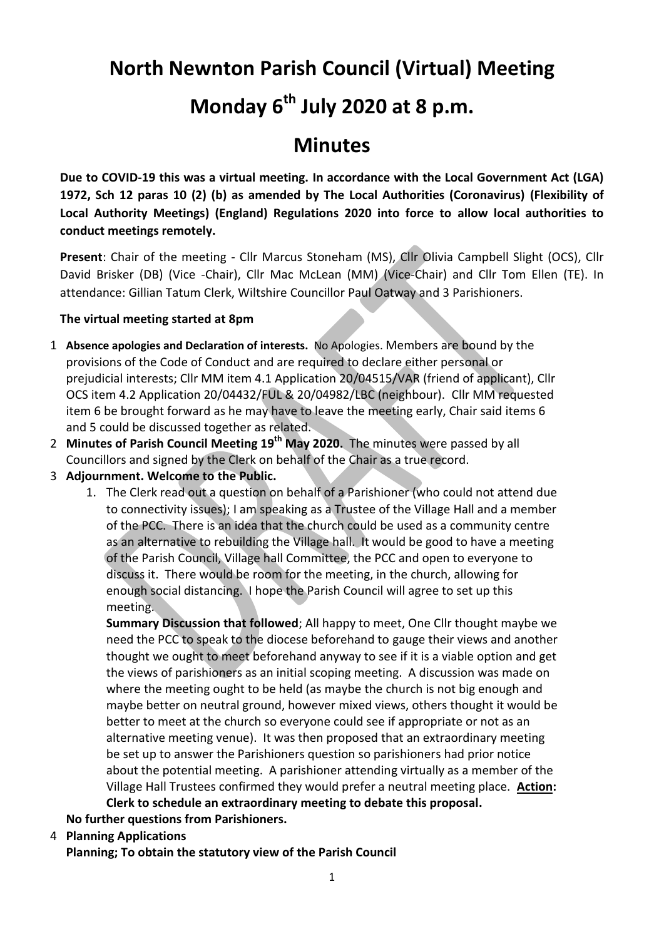# **North Newnton Parish Council (Virtual) Meeting**

# **Monday 6th July 2020 at 8 p.m.**

# **Minutes**

**Due to COVID-19 this was a virtual meeting. In accordance with the Local Government Act (LGA) 1972, Sch 12 paras 10 (2) (b) as amended by The Local Authorities (Coronavirus) (Flexibility of Local Authority Meetings) (England) Regulations 2020 into force to allow local authorities to conduct meetings remotely.** 

**Present**: Chair of the meeting - Cllr Marcus Stoneham (MS), Cllr Olivia Campbell Slight (OCS), Cllr David Brisker (DB) (Vice -Chair), Cllr Mac McLean (MM) (Vice-Chair) and Cllr Tom Ellen (TE). In attendance: Gillian Tatum Clerk, Wiltshire Councillor Paul Oatway and 3 Parishioners.

## **The virtual meeting started at 8pm**

- 1 **Absence apologies and Declaration of interests.** No Apologies. Members are bound by the provisions of the Code of Conduct and are required to declare either personal or prejudicial interests; Cllr MM item 4.1 Application 20/04515/VAR (friend of applicant), Cllr OCS item 4.2 Application 20/04432/FUL & 20/04982/LBC (neighbour). Cllr MM requested item 6 be brought forward as he may have to leave the meeting early, Chair said items 6 and 5 could be discussed together as related.
- 2 **Minutes of Parish Council Meeting 19th May 2020.** The minutes were passed by all Councillors and signed by the Clerk on behalf of the Chair as a true record.
- 3 **Adjournment. Welcome to the Public.**
	- 1. The Clerk read out a question on behalf of a Parishioner (who could not attend due to connectivity issues); I am speaking as a Trustee of the Village Hall and a member of the PCC. There is an idea that the church could be used as a community centre as an alternative to rebuilding the Village hall. It would be good to have a meeting of the Parish Council, Village hall Committee, the PCC and open to everyone to discuss it. There would be room for the meeting, in the church, allowing for enough social distancing. I hope the Parish Council will agree to set up this meeting.

**Summary Discussion that followed**; All happy to meet, One Cllr thought maybe we need the PCC to speak to the diocese beforehand to gauge their views and another thought we ought to meet beforehand anyway to see if it is a viable option and get the views of parishioners as an initial scoping meeting. A discussion was made on where the meeting ought to be held (as maybe the church is not big enough and maybe better on neutral ground, however mixed views, others thought it would be better to meet at the church so everyone could see if appropriate or not as an alternative meeting venue). It was then proposed that an extraordinary meeting be set up to answer the Parishioners question so parishioners had prior notice about the potential meeting. A parishioner attending virtually as a member of the Village Hall Trustees confirmed they would prefer a neutral meeting place. **Action: Clerk to schedule an extraordinary meeting to debate this proposal.**

**No further questions from Parishioners.**

4 **Planning Applications**

**Planning; To obtain the statutory view of the Parish Council**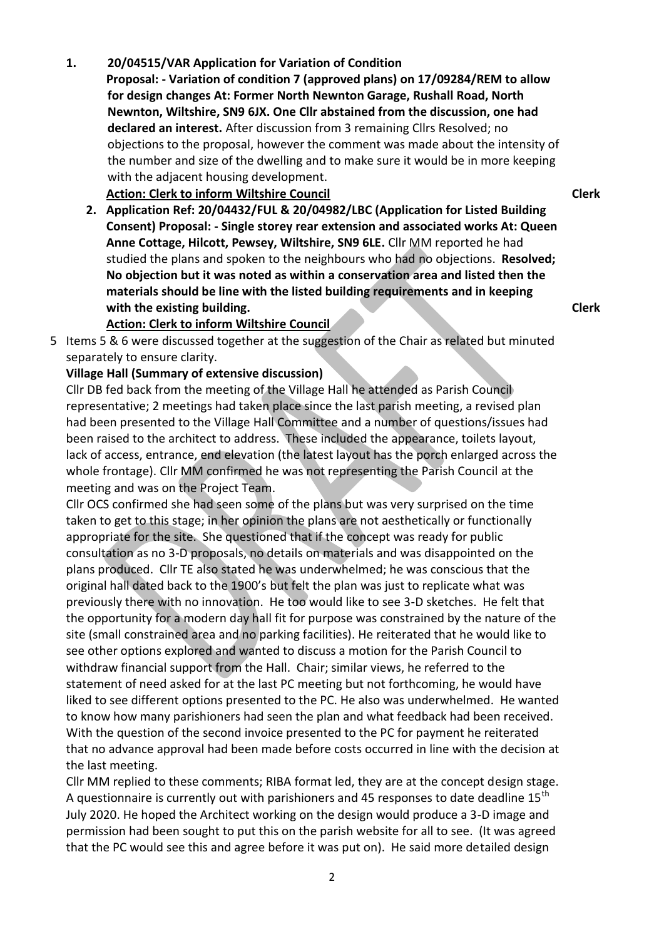# Cllr DB fed back from the meeting of the Village Hall he attended as Parish Council

representative; 2 meetings had taken place since the last parish meeting, a revised plan had been presented to the Village Hall Committee and a number of questions/issues had been raised to the architect to address. These included the appearance, toilets layout, lack of access, entrance, end elevation (the latest layout has the porch enlarged across the whole frontage). Cllr MM confirmed he was not representing the Parish Council at the meeting and was on the Project Team.

5 Items 5 & 6 were discussed together at the suggestion of the Chair as related but minuted

Cllr OCS confirmed she had seen some of the plans but was very surprised on the time taken to get to this stage; in her opinion the plans are not aesthetically or functionally appropriate for the site. She questioned that if the concept was ready for public consultation as no 3-D proposals, no details on materials and was disappointed on the plans produced. Cllr TE also stated he was underwhelmed; he was conscious that the original hall dated back to the 1900's but felt the plan was just to replicate what was previously there with no innovation. He too would like to see 3-D sketches. He felt that the opportunity for a modern day hall fit for purpose was constrained by the nature of the site (small constrained area and no parking facilities). He reiterated that he would like to see other options explored and wanted to discuss a motion for the Parish Council to withdraw financial support from the Hall. Chair; similar views, he referred to the statement of need asked for at the last PC meeting but not forthcoming, he would have liked to see different options presented to the PC. He also was underwhelmed. He wanted to know how many parishioners had seen the plan and what feedback had been received. With the question of the second invoice presented to the PC for payment he reiterated that no advance approval had been made before costs occurred in line with the decision at the last meeting.

Cllr MM replied to these comments; RIBA format led, they are at the concept design stage. A questionnaire is currently out with parishioners and 45 responses to date deadline 15<sup>th</sup> July 2020. He hoped the Architect working on the design would produce a 3-D image and permission had been sought to put this on the parish website for all to see. (It was agreed that the PC would see this and agree before it was put on). He said more detailed design

2

# **Newnton, Wiltshire, SN9 6JX. One Cllr abstained from the discussion, one had declared an interest.** After discussion from 3 remaining Cllrs Resolved; no objections to the proposal, however the comment was made about the intensity of the number and size of the dwelling and to make sure it would be in more keeping with the adjacent housing development.

## **Action: Clerk to inform Wiltshire Council**

**Action: Clerk to inform Wiltshire Council**

**Village Hall (Summary of extensive discussion)**

separately to ensure clarity.

**1. 20/04515/VAR Application for Variation of Condition**

**2. Application Ref: 20/04432/FUL & 20/04982/LBC (Application for Listed Building Consent) Proposal: - Single storey rear extension and associated works At: Queen Anne Cottage, Hilcott, Pewsey, Wiltshire, SN9 6LE.** Cllr MM reported he had studied the plans and spoken to the neighbours who had no objections. **Resolved; No objection but it was noted as within a conservation area and listed then the materials should be line with the listed building requirements and in keeping with the existing building.**

**Proposal: - Variation of condition 7 (approved plans) on 17/09284/REM to allow for design changes At: Former North Newnton Garage, Rushall Road, North** 

**Clerk**

**Clerk**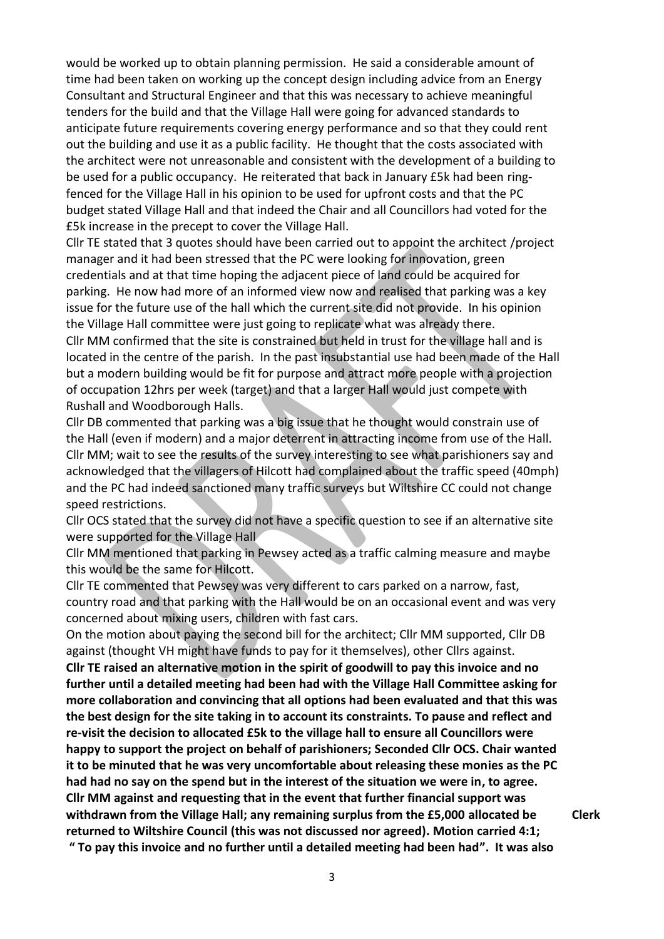would be worked up to obtain planning permission. He said a considerable amount of time had been taken on working up the concept design including advice from an Energy Consultant and Structural Engineer and that this was necessary to achieve meaningful tenders for the build and that the Village Hall were going for advanced standards to anticipate future requirements covering energy performance and so that they could rent out the building and use it as a public facility. He thought that the costs associated with the architect were not unreasonable and consistent with the development of a building to be used for a public occupancy. He reiterated that back in January £5k had been ringfenced for the Village Hall in his opinion to be used for upfront costs and that the PC budget stated Village Hall and that indeed the Chair and all Councillors had voted for the £5k increase in the precept to cover the Village Hall.

Cllr TE stated that 3 quotes should have been carried out to appoint the architect /project manager and it had been stressed that the PC were looking for innovation, green credentials and at that time hoping the adjacent piece of land could be acquired for parking. He now had more of an informed view now and realised that parking was a key issue for the future use of the hall which the current site did not provide. In his opinion the Village Hall committee were just going to replicate what was already there.

Cllr MM confirmed that the site is constrained but held in trust for the village hall and is located in the centre of the parish. In the past insubstantial use had been made of the Hall but a modern building would be fit for purpose and attract more people with a projection of occupation 12hrs per week (target) and that a larger Hall would just compete with Rushall and Woodborough Halls.

Cllr DB commented that parking was a big issue that he thought would constrain use of the Hall (even if modern) and a major deterrent in attracting income from use of the Hall. Cllr MM; wait to see the results of the survey interesting to see what parishioners say and acknowledged that the villagers of Hilcott had complained about the traffic speed (40mph) and the PC had indeed sanctioned many traffic surveys but Wiltshire CC could not change speed restrictions.

Cllr OCS stated that the survey did not have a specific question to see if an alternative site were supported for the Village Hall

Cllr MM mentioned that parking in Pewsey acted as a traffic calming measure and maybe this would be the same for Hilcott.

Cllr TE commented that Pewsey was very different to cars parked on a narrow, fast, country road and that parking with the Hall would be on an occasional event and was very concerned about mixing users, children with fast cars.

On the motion about paying the second bill for the architect; Cllr MM supported, Cllr DB against (thought VH might have funds to pay for it themselves), other Cllrs against. **Cllr TE raised an alternative motion in the spirit of goodwill to pay this invoice and no further until a detailed meeting had been had with the Village Hall Committee asking for more collaboration and convincing that all options had been evaluated and that this was the best design for the site taking in to account its constraints. To pause and reflect and re-visit the decision to allocated £5k to the village hall to ensure all Councillors were happy to support the project on behalf of parishioners; Seconded Cllr OCS. Chair wanted it to be minuted that he was very uncomfortable about releasing these monies as the PC had had no say on the spend but in the interest of the situation we were in, to agree. Cllr MM against and requesting that in the event that further financial support was withdrawn from the Village Hall; any remaining surplus from the £5,000 allocated be returned to Wiltshire Council (this was not discussed nor agreed). Motion carried 4:1; " To pay this invoice and no further until a detailed meeting had been had". It was also** 

**Clerk**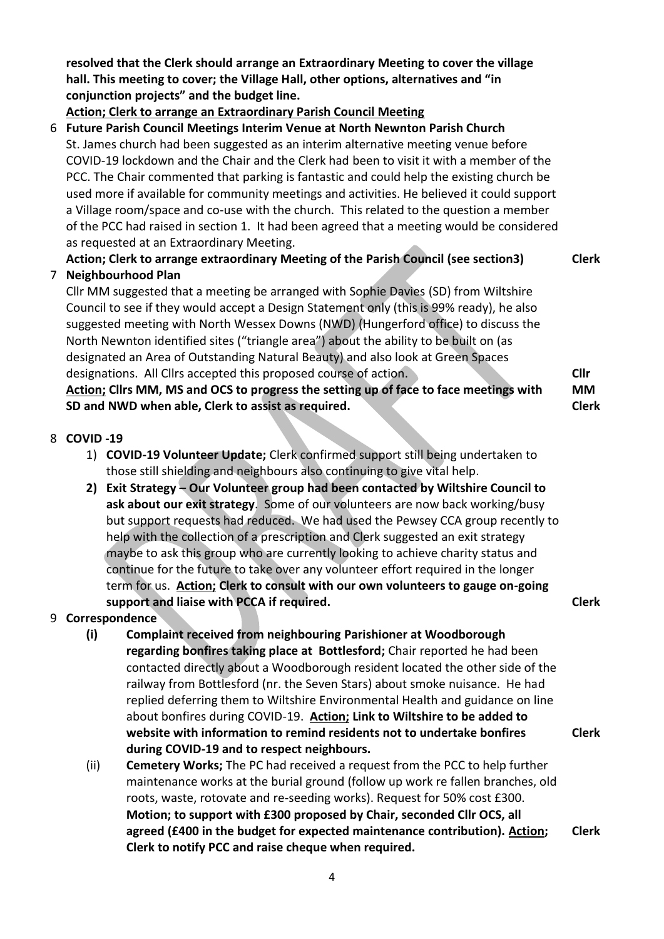**resolved that the Clerk should arrange an Extraordinary Meeting to cover the village hall. This meeting to cover; the Village Hall, other options, alternatives and "in conjunction projects" and the budget line.**

# **Action; Clerk to arrange an Extraordinary Parish Council Meeting**

6 **Future Parish Council Meetings Interim Venue at North Newnton Parish Church**  St. James church had been suggested as an interim alternative meeting venue before COVID-19 lockdown and the Chair and the Clerk had been to visit it with a member of the PCC. The Chair commented that parking is fantastic and could help the existing church be used more if available for community meetings and activities. He believed it could support a Village room/space and co-use with the church. This related to the question a member of the PCC had raised in section 1. It had been agreed that a meeting would be considered as requested at an Extraordinary Meeting.

# **Action; Clerk to arrange extraordinary Meeting of the Parish Council (see section3) Clerk** 7 **Neighbourhood Plan**

Cllr MM suggested that a meeting be arranged with Sophie Davies (SD) from Wiltshire Council to see if they would accept a Design Statement only (this is 99% ready), he also suggested meeting with North Wessex Downs (NWD) (Hungerford office) to discuss the North Newnton identified sites ("triangle area") about the ability to be built on (as designated an Area of Outstanding Natural Beauty) and also look at Green Spaces designations. All Cllrs accepted this proposed course of action. **Action; Cllrs MM, MS and OCS to progress the setting up of face to face meetings with** 

**SD and NWD when able, Clerk to assist as required.**

# **Cllr MM Clerk**

## 8 **COVID -19**

- 1) **COVID-19 Volunteer Update;** Clerk confirmed support still being undertaken to those still shielding and neighbours also continuing to give vital help.
- **2) Exit Strategy – Our Volunteer group had been contacted by Wiltshire Council to ask about our exit strategy**. Some of our volunteers are now back working/busy but support requests had reduced. We had used the Pewsey CCA group recently to help with the collection of a prescription and Clerk suggested an exit strategy maybe to ask this group who are currently looking to achieve charity status and continue for the future to take over any volunteer effort required in the longer term for us. **Action; Clerk to consult with our own volunteers to gauge on-going support and liaise with PCCA if required. Clerk**

**Clerk**

# 9 **Correspondence**

- **(i) Complaint received from neighbouring Parishioner at Woodborough regarding bonfires taking place at Bottlesford;** Chair reported he had been contacted directly about a Woodborough resident located the other side of the railway from Bottlesford (nr. the Seven Stars) about smoke nuisance. He had replied deferring them to Wiltshire Environmental Health and guidance on line about bonfires during COVID-19. **Action; Link to Wiltshire to be added to website with information to remind residents not to undertake bonfires during COVID-19 and to respect neighbours.**
- (ii) **Cemetery Works;** The PC had received a request from the PCC to help further maintenance works at the burial ground (follow up work re fallen branches, old roots, waste, rotovate and re-seeding works). Request for 50% cost £300. **Motion; to support with £300 proposed by Chair, seconded Cllr OCS, all agreed (£400 in the budget for expected maintenance contribution). Action; Clerk to notify PCC and raise cheque when required. Clerk**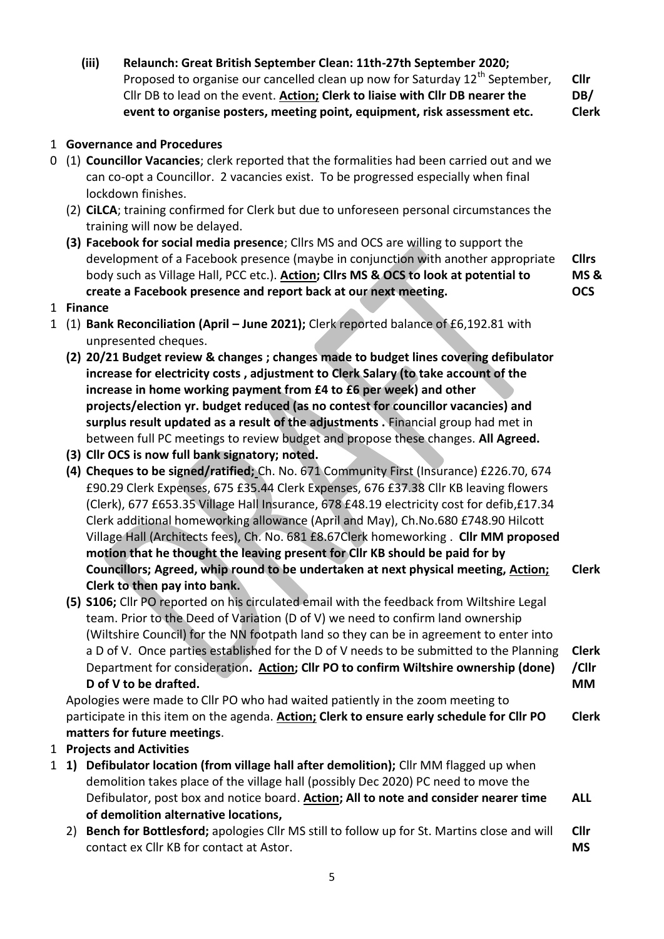**(iii) Relaunch: Great British September Clean: 11th-27th September 2020;**  Proposed to organise our cancelled clean up now for Saturday  $12<sup>th</sup>$  September, Cllr DB to lead on the event. **Action; Clerk to liaise with Cllr DB nearer the event to organise posters, meeting point, equipment, risk assessment etc. Cllr DB/ Clerk**

1 **Governance and Procedures**

- 0 (1) **Councillor Vacancies**; clerk reported that the formalities had been carried out and we can co-opt a Councillor. 2 vacancies exist. To be progressed especially when final lockdown finishes.
	- (2) **CiLCA**; training confirmed for Clerk but due to unforeseen personal circumstances the training will now be delayed.
	- **(3) Facebook for social media presence**; Cllrs MS and OCS are willing to support the development of a Facebook presence (maybe in conjunction with another appropriate body such as Village Hall, PCC etc.). **Action; Cllrs MS & OCS to look at potential to create a Facebook presence and report back at our next meeting. Cllrs MS & OCS**

1 **Finance** 

- 1 (1) **Bank Reconciliation (April – June 2021);** Clerk reported balance of £6,192.81 with unpresented cheques.
	- **(2) 20/21 Budget review & changes ; changes made to budget lines covering defibulator increase for electricity costs , adjustment to Clerk Salary (to take account of the increase in home working payment from £4 to £6 per week) and other projects/election yr. budget reduced (as no contest for councillor vacancies) and surplus result updated as a result of the adjustments .** Financial group had met in between full PC meetings to review budget and propose these changes. **All Agreed.**
	- **(3) Cllr OCS is now full bank signatory; noted.**
	- **(4) Cheques to be signed/ratified;** Ch. No. 671 Community First (Insurance) £226.70, 674 £90.29 Clerk Expenses, 675 £35.44 Clerk Expenses, 676 £37.38 Cllr KB leaving flowers (Clerk), 677 £653.35 Village Hall Insurance, 678 £48.19 electricity cost for defib,£17.34 Clerk additional homeworking allowance (April and May), Ch.No.680 £748.90 Hilcott Village Hall (Architects fees), Ch. No. 681 £8.67Clerk homeworking . **Cllr MM proposed motion that he thought the leaving present for Cllr KB should be paid for by Councillors; Agreed, whip round to be undertaken at next physical meeting, Action; Clerk to then pay into bank. Clerk**
	- **(5) S106;** Cllr PO reported on his circulated email with the feedback from Wiltshire Legal team. Prior to the Deed of Variation (D of V) we need to confirm land ownership (Wiltshire Council) for the NN footpath land so they can be in agreement to enter into a D of V. Once parties established for the D of V needs to be submitted to the Planning Department for consideration**. Action; Cllr PO to confirm Wiltshire ownership (done) D of V to be drafted. Clerk /Cllr MM**

Apologies were made to Cllr PO who had waited patiently in the zoom meeting to participate in this item on the agenda. **Action; Clerk to ensure early schedule for Cllr PO matters for future meetings**. **Clerk** 

- 1 **Projects and Activities**
- 1 **1) Defibulator location (from village hall after demolition);** Cllr MM flagged up when demolition takes place of the village hall (possibly Dec 2020) PC need to move the Defibulator, post box and notice board. **Action; All to note and consider nearer time of demolition alternative locations, ALL**
	- 2) **Bench for Bottlesford;** apologies Cllr MS still to follow up for St. Martins close and will contact ex Cllr KB for contact at Astor. **Cllr MS**